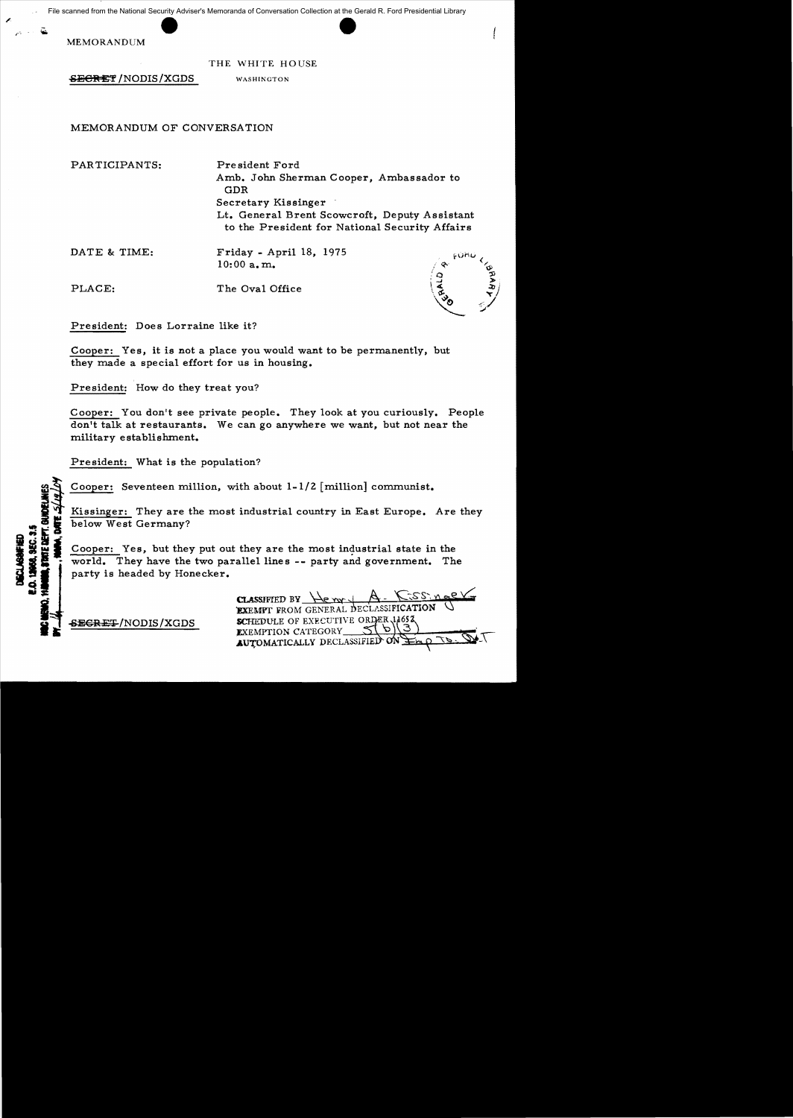File scanned from the National Security Adviser's Memoranda of Conversation Collection at the Gerald R. Ford Presidential Library

MEMORANDUM

THE WHITE HOUSE

**SECRET/NODIS/XGDS** WASHINGTON

# MEMORANDUM OF CONVERSATION

PARTICIPANTS:

Pre sident Ford Amb. John Sherman Cooper, Ambassador to GDR Secretary Kissinger Lt. General Brent Scowcroft, Deputy Assistant to the President for National Security Affairs

DATE & TIME:

Friday - April 18, 1975 10:00 a. m.

PLACE: The Oval Office

President: Does Lorraine like it?

Cooper: Yes, it is not a place you would want to be permanently, but they made a special effort for us in housing.

President: How do they treat you?

Cooper: You don't see private people. They look at you curiously. People don't talk at restaurants. We can go anywhere we want, but not near the military establishment.

President: What is the population?

Cooper: Seventeen million, with about  $1-1/2$  [million] communist.

Kissinger: They are the most industrial country in East Europe. Are they below West Germany?

Cooper: Yes, but they put out they are the most industrial state in the world. They have the two parallel lines **-** party and government. The party is headed by Honecker.

 $CLAS<sub>S</sub>SHELD BY  $\frac{1}{e}$   $\frac{1}{e}$$ EXEMPT FROM GENERAL DECLASSIFICATION SCHEDULE OF EXECUTIVE ORDER 1465 EXEMPTION CATEGORY AUTOMATICALLY DECLASSIFIED

SEGRET/NODIS/XGDS

DE DEPT. GA

12068, SEC. 3.5 **ECLASSWITED**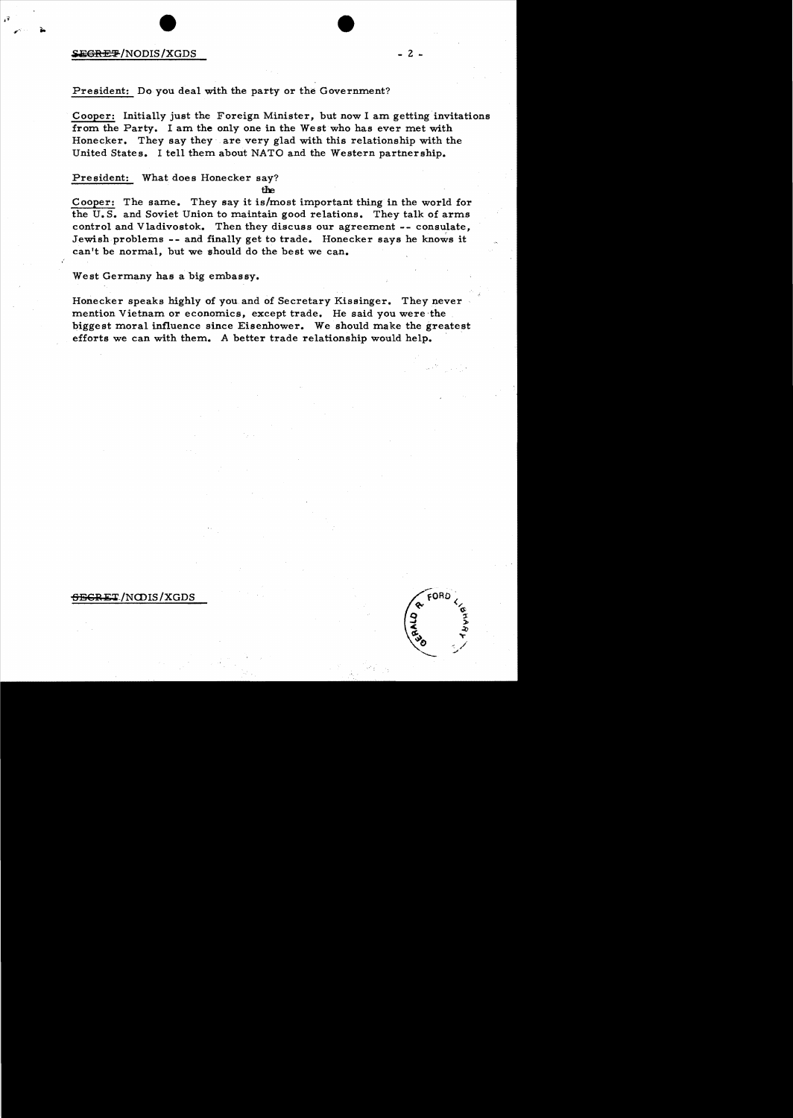#### $\frac{1}{2}$   $\frac{1}{2}$   $\frac{1}{2}$   $\frac{1}{2}$   $\frac{1}{2}$   $\frac{1}{2}$   $\frac{1}{2}$   $\frac{1}{2}$   $\frac{1}{2}$   $\frac{1}{2}$   $\frac{1}{2}$   $\frac{1}{2}$   $\frac{1}{2}$   $\frac{1}{2}$   $\frac{1}{2}$   $\frac{1}{2}$   $\frac{1}{2}$   $\frac{1}{2}$   $\frac{1}{2}$   $\frac{1}{2}$   $\frac{1}{2}$   $\frac{1}{2}$

 $\mathbf{r}$ ".-,

## President: Do you deal with the party or the Government?

Cooper: Initially just the Foreign Minister, but now I am getting invitations from the Party. I am the only one in the West who has ever met with Honecker. They say they are very glad with this relationship with the United States. I tell them about NATO and the Western partnership.

## President: What does Honecker say?

fhe.

Cooper: The same. They say it is/most important thing in the world for the U.S. and Soviet Union to maintain good relations. They talk of arms control and Vladivostok. Then they discuss our agreement -- consulate, Jewish problems -- and finally get to trade. Honecker says he knows it can't be normal, but we should do the best we can.

West Germany has a big embassy.

Honecker speaks highly of you and of Secretary Kissinger. They never mention Vietnam or economics, except trade. He said you were the biggest moral influence since Eisenhower. We should make the greatest efforts we can with them. A better trade relationship would help.

#### <del>SECRET</del>/NODIS/XGDS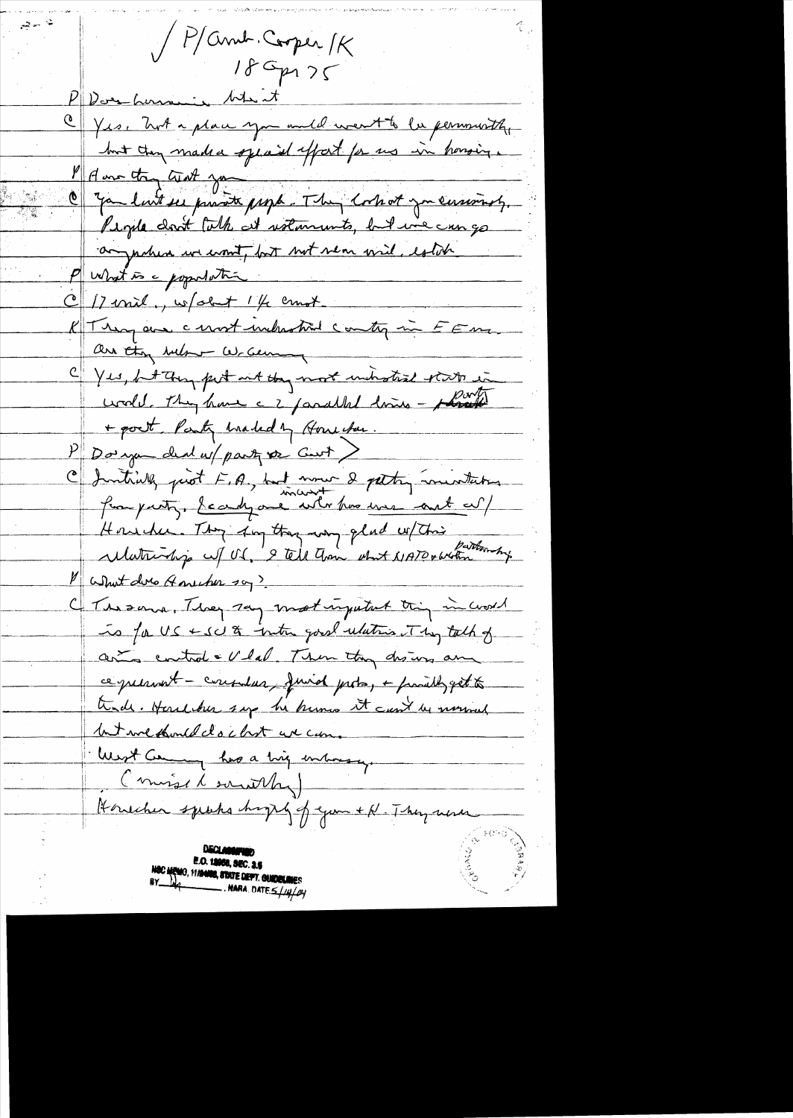Parul Cooper MK  $186p125$ PD are how in the C Yes. Wit a place you and it went to be personally but they made a special effort for us in honoing. Manuelin aut ju O you luit se private page. They cortest you cersoisty. People don't talk at ustaments, but we can go anywhere we want, but not near wid, establi P what is a population  $C/2$  mil, w/abit  $1/4$  crust K Trema au cent inclusted contry in FEM. are they below writer C Yes, but they put into they most unit state state in wedd. They have a 2 parallel dries - plants + post Party Maded by Househou.  $P$  Douga deal us party or Can't C) Initially just E.A., but now 2 petty inuntation from party. Search one with the was ant as/ Househu. They day they wany plad w/ This What due Anument soy? The same, They say most injutant this in world To for US & SU & inter good ulation They talk of arts control . V lal. Then they dis us an ce persont - consular, finish probo, + parally get to trade. Houseber sap he huma it can't be normed Internething docket we can. West Coming has a trig inhausy. (missil southy) Houcher speaks hopey of your + N. They were E.O. 18958, SEC. 3.5 C MEMO, 11/24/22, STATE DEPT. GUIDELINES  $\overline{\phantom{a}}$ . Nara. Date  $\leq$  /////////